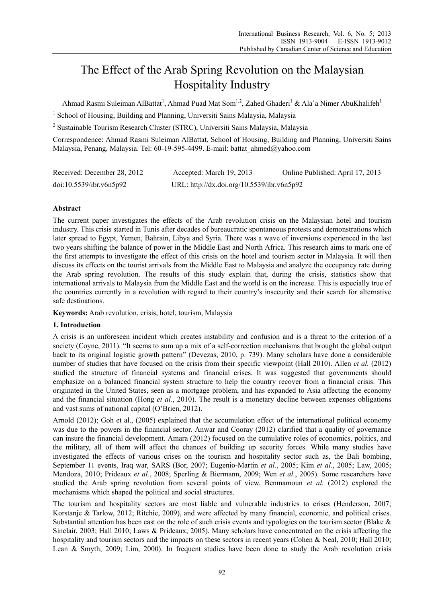# The Effect of the Arab Spring Revolution on the Malaysian Hospitality Industry

Ahmad Rasmi Suleiman AlBattat<sup>1</sup>, Ahmad Puad Mat Som<sup>1,2</sup>, Zahed Ghaderi<sup>1</sup> & Ala`a Nimer AbuKhalifeh<sup>1</sup>

<sup>1</sup> School of Housing, Building and Planning, Universiti Sains Malaysia, Malaysia

<sup>2</sup> Sustainable Tourism Research Cluster (STRC), Universiti Sains Malaysia, Malaysia

Correspondence: Ahmad Rasmi Suleiman AlBattat, School of Housing, Building and Planning, Universiti Sains Malaysia, Penang, Malaysia. Tel: 60-19-595-4499. E-mail: battat\_ahmed@yahoo.com

| Received: December 28, 2012 | Accepted: March 19, 2013                   | Online Published: April 17, 2013 |
|-----------------------------|--------------------------------------------|----------------------------------|
| doi:10.5539/ibr.v6n5p92     | URL: http://dx.doi.org/10.5539/ibr.v6n5p92 |                                  |

# **Abstract**

The current paper investigates the effects of the Arab revolution crisis on the Malaysian hotel and tourism industry. This crisis started in Tunis after decades of bureaucratic spontaneous protests and demonstrations which later spread to Egypt, Yemen, Bahrain, Libya and Syria. There was a wave of inversions experienced in the last two years shifting the balance of power in the Middle East and North Africa. This research aims to mark one of the first attempts to investigate the effect of this crisis on the hotel and tourism sector in Malaysia. It will then discuss its effects on the tourist arrivals from the Middle East to Malaysia and analyze the occupancy rate during the Arab spring revolution. The results of this study explain that, during the crisis, statistics show that international arrivals to Malaysia from the Middle East and the world is on the increase. This is especially true of the countries currently in a revolution with regard to their country's insecurity and their search for alternative safe destinations.

**Keywords:** Arab revolution, crisis, hotel, tourism, Malaysia

# **1. Introduction**

A crisis is an unforeseen incident which creates instability and confusion and is a threat to the criterion of a society (Coyne, 2011). "It seems to sum up a mix of a self-correction mechanisms that brought the global output back to its original logistic growth pattern" (Devezas, 2010, p. 739). Many scholars have done a considerable number of studies that have focused on the crisis from their specific viewpoint (Hall 2010). Allen *et al.* (2012) studied the structure of financial systems and financial crises. It was suggested that governments should emphasize on a balanced financial system structure to help the country recover from a financial crisis. This originated in the United States, seen as a mortgage problem, and has expanded to Asia affecting the economy and the financial situation (Hong *et al.*, 2010). The result is a monetary decline between expenses obligations and vast sums of national capital (O'Brien, 2012).

Arnold (2012); Goh et al., (2005) explained that the accumulation effect of the international political economy was due to the powers in the financial sector. Anwar and Cooray (2012) clarified that a quality of governance can insure the financial development. Amara (2012) focused on the cumulative roles of economics, politics, and the military, all of them will affect the chances of building up security forces. While many studies have investigated the effects of various crises on the tourism and hospitality sector such as, the Bali bombing, September 11 events, Iraq war, SARS (Bor, 2007; Eugenio-Martin *et al.*, 2005; Kim *et al.*, 2005; Law, 2005; Mendoza, 2010; Prideaux *et al.*, 2008; Sperling & Biermann, 2009; Wen *et al.*, 2005). Some researchers have studied the Arab spring revolution from several points of view. Benmamoun *et al.* (2012) explored the mechanisms which shaped the political and social structures.

The tourism and hospitality sectors are most liable and vulnerable industries to crises (Henderson, 2007; Korstanje & Tarlow, 2012; Ritchie, 2009), and were affected by many financial, economic, and political crises. Substantial attention has been cast on the role of such crisis events and typologies on the tourism sector (Blake  $\&$ Sinclair, 2003; Hall 2010; Laws & Prideaux, 2005). Many scholars have concentrated on the crisis affecting the hospitality and tourism sectors and the impacts on these sectors in recent years (Cohen & Neal, 2010; Hall 2010; Lean & Smyth, 2009; Lim, 2000). In frequent studies have been done to study the Arab revolution crisis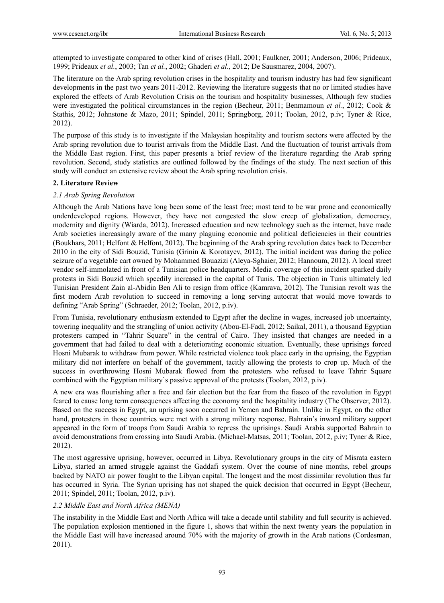attempted to investigate compared to other kind of crises (Hall, 2001; Faulkner, 2001; Anderson, 2006; Prideaux, 1999; Prideaux *et al.*, 2003; Tan *et al.*, 2002; Ghaderi *et al*., 2012; De Sausmarez, 2004, 2007).

The literature on the Arab spring revolution crises in the hospitality and tourism industry has had few significant developments in the past two years 2011-2012. Reviewing the literature suggests that no or limited studies have explored the effects of Arab Revolution Crisis on the tourism and hospitality businesses, Although few studies were investigated the political circumstances in the region (Becheur, 2011; Benmamoun *et al.*, 2012; Cook & Stathis, 2012; Johnstone & Mazo, 2011; Spindel, 2011; Springborg, 2011; Toolan, 2012, p.iv; Tyner & Rice, 2012).

The purpose of this study is to investigate if the Malaysian hospitality and tourism sectors were affected by the Arab spring revolution due to tourist arrivals from the Middle East. And the fluctuation of tourist arrivals from the Middle East region. First, this paper presents a brief review of the literature regarding the Arab spring revolution. Second, study statistics are outlined followed by the findings of the study. The next section of this study will conduct an extensive review about the Arab spring revolution crisis.

# **2. Literature Review**

# *2.1 Arab Spring Revolution*

Although the Arab Nations have long been some of the least free; most tend to be war prone and economically underdeveloped regions. However, they have not congested the slow creep of globalization, democracy, modernity and dignity (Wiarda, 2012). Increased education and new technology such as the internet, have made Arab societies increasingly aware of the many plaguing economic and political deficiencies in their countries (Boukhars, 2011; Helfont & Helfont, 2012). The beginning of the Arab spring revolution dates back to December 2010 in the city of Sidi Bouzid, Tunisia (Grinin & Korotayev, 2012). The initial incident was during the police seizure of a vegetable cart owned by Mohammed Bouazizi (Aleya-Sghaier, 2012; Hannoum, 2012). A local street vendor self-immolated in front of a Tunisian police headquarters. Media coverage of this incident sparked daily protests in Sidi Bouzid which speedily increased in the capital of Tunis. The objection in Tunis ultimately led Tunisian President Zain al-Abidin Ben Ali to resign from office (Kamrava, 2012). The Tunisian revolt was the first modern Arab revolution to succeed in removing a long serving autocrat that would move towards to defining "Arab Spring" (Schraeder, 2012; Toolan, 2012, p.iv).

From Tunisia, revolutionary enthusiasm extended to Egypt after the decline in wages, increased job uncertainty, towering inequality and the strangling of union activity (Abou-El-Fadl, 2012; Saikal, 2011), a thousand Egyptian protesters camped in "Tahrir Square" in the central of Cairo. They insisted that changes are needed in a government that had failed to deal with a deteriorating economic situation. Eventually, these uprisings forced Hosni Mubarak to withdraw from power. While restricted violence took place early in the uprising, the Egyptian military did not interfere on behalf of the government, tacitly allowing the protests to crop up. Much of the success in overthrowing Hosni Mubarak flowed from the protesters who refused to leave Tahrir Square combined with the Egyptian military`s passive approval of the protests (Toolan, 2012, p.iv).

A new era was flourishing after a free and fair election but the fear from the fiasco of the revolution in Egypt feared to cause long term consequences affecting the economy and the hospitality industry (The Observer, 2012). Based on the success in Egypt, an uprising soon occurred in Yemen and Bahrain. Unlike in Egypt, on the other hand, protesters in those countries were met with a strong military response. Bahrain's inward military support appeared in the form of troops from Saudi Arabia to repress the uprisings. Saudi Arabia supported Bahrain to avoid demonstrations from crossing into Saudi Arabia. (Michael-Matsas, 2011; Toolan, 2012, p.iv; Tyner & Rice, 2012).

The most aggressive uprising, however, occurred in Libya. Revolutionary groups in the city of Misrata eastern Libya, started an armed struggle against the Gaddafi system. Over the course of nine months, rebel groups backed by NATO air power fought to the Libyan capital. The longest and the most dissimilar revolution thus far has occurred in Syria. The Syrian uprising has not shaped the quick decision that occurred in Egypt (Becheur, 2011; Spindel, 2011; Toolan, 2012, p.iv).

# *2.2 Middle East and North Africa (MENA)*

The instability in the Middle East and North Africa will take a decade until stability and full security is achieved. The population explosion mentioned in the figure 1, shows that within the next twenty years the population in the Middle East will have increased around 70% with the majority of growth in the Arab nations (Cordesman, 2011).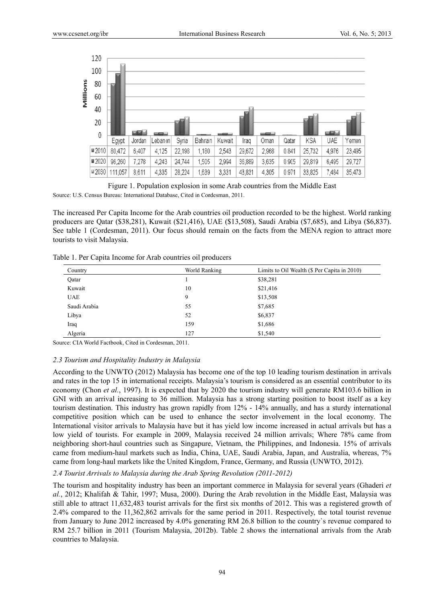

Source: U.S. Census Bureau: International Database, Cited in Cordesman, 2011. Figure 1. Population explosion in some Arab countries from the Middle East<br>Source: U.S. Census Bureau: International Database, Cited in Cordesman, 2011.<br>The increased Per Capita Income for the Arab countries oil production Figure 1. Population explosion in some Arab countries from the Middle East

producers are Qatar (\$38,281), Kuwait (\$21,416), UAE (\$13,508), Saudi Arabia (\$7,685), and Libya (\$6,837). See table 1 (Cordesman, 2011). Our focus should remain on the facts from the MENA region to attract more tourists to visit Malaysia.

| Table 1. Per Capita Income for Arab countries oil producers |
|-------------------------------------------------------------|
|-------------------------------------------------------------|

| Country      | World Ranking | Limits to Oil Wealth (\$ Per Capita in 2010) |
|--------------|---------------|----------------------------------------------|
| Oatar        |               | \$38,281                                     |
| Kuwait       | 10            | \$21,416                                     |
| <b>UAE</b>   | 9             | \$13,508                                     |
| Saudi Arabia | 55            | \$7,685                                      |
| Libya        | 52            | \$6,837                                      |
| Iraq         | 159           | \$1,686                                      |
| Algeria      | 127           | \$1,540                                      |

## 2.3 Tourism and Hospitality Industry in Malaysia

According to the UNWTO (2012) Malaysia has become one of the top 10 leading tourism destination in arrivals and rates in the top 15 in international receipts. Malaysia's tourism is considered as an essential contributor to its economy (Chon et al., 1997). It is expected that by 2020 the tourism industry will generate RM103.6 billion in GNI with an arrival increasing to 36 million. Malaysia has a strong starting position to boost itself as a key tourism destination. This industry has grown rapidly from 12% - 14% annually, and has a sturdy international competitive position which can be used to enhance the sector involvement in the local economy. The International visitor arrivals to Malaysia have but it has yield low income increased in actual arrivals but has a low yield of tourists. For example in 2009, Malaysia received 24 million arrivals; Where 78% came from neighboring short-haul countries such as Singapure, Vietnam, the Philippines, and Indonesia. 15% of arrivals came from medium-haul markets such as India, China, UAE, Saudi Arabia, Japan, and Australia, whereas, 7% came from long-haul markets like the United Kingdom, France, Germany, and Russia (UNWTO, 2012).

## 2.4 Tourist Arrivals to Malaysia during the Arab Spring Revolution (2011-2012)

The tourism and hospitality industry has been an important commerce in Malaysia for several years (Ghaderi et al., 2012; Khalifah & Tahir, 1997; Musa, 2000). During the Arab revolution in the Middle East, Malaysia was still able to attract 11,632,483 tourist arrivals for the first six months of 2012. This was a registered growth of 2.4% compared to the 11,362,862 arrivals for the same period in 2011. Respectively, the total tourist revenue from January to June 2012 increased by 4.0% generating RM 26.8 billion to the country's revenue compared to RM 25.7 billion in 2011 (Tourism Malaysia, 2012b). Table 2 shows the international arrivals from the Arab countries to Malaysia.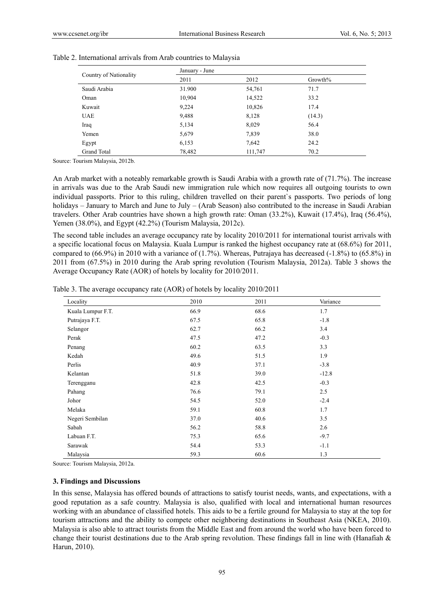| Country of Nationality | January - June |         |         |  |  |
|------------------------|----------------|---------|---------|--|--|
|                        | 2011           | 2012    | Growth% |  |  |
| Saudi Arabia           | 31.900         | 54,761  | 71.7    |  |  |
| Oman                   | 10,904         | 14,522  | 33.2    |  |  |
| Kuwait                 | 9,224          | 10,826  | 17.4    |  |  |
| <b>UAE</b>             | 9,488          | 8,128   | (14.3)  |  |  |
| Iraq                   | 5,134          | 8,029   | 56.4    |  |  |
| Yemen                  | 5,679          | 7,839   | 38.0    |  |  |
| Egypt                  | 6,153          | 7,642   | 24.2    |  |  |
| Grand Total            | 78,482         | 111,747 | 70.2    |  |  |

#### Table 2. International arrivals from Arab countries to Malaysia

Source: Tourism Malaysia, 2012b.

An Arab market with a noteably remarkable growth is Saudi Arabia with a growth rate of (71.7%). The increase in arrivals was due to the Arab Saudi new immigration rule which now requires all outgoing tourists to own individual passports. Prior to this ruling, children travelled on their parent`s passports. Two periods of long holidays – January to March and June to July – (Arab Season) also contributed to the increase in Saudi Arabian travelers. Other Arab countries have shown a high growth rate: Oman (33.2%), Kuwait (17.4%), Iraq (56.4%), Yemen (38.0%), and Egypt (42.2%) (Tourism Malaysia, 2012c).

The second table includes an average occupancy rate by locality 2010/2011 for international tourist arrivals with a specific locational focus on Malaysia. Kuala Lumpur is ranked the highest occupancy rate at (68.6%) for 2011, compared to  $(66.9\%)$  in 2010 with a variance of  $(1.7\%)$ . Whereas, Putrajaya has decreased  $(-1.8\%)$  to  $(65.8\%)$  in 2011 from (67.5%) in 2010 during the Arab spring revolution (Tourism Malaysia, 2012a). Table 3 shows the Average Occupancy Rate (AOR) of hotels by locality for 2010/2011.

| Locality          | 2010 | 2011 | Variance |  |
|-------------------|------|------|----------|--|
| Kuala Lumpur F.T. | 66.9 | 68.6 | 1.7      |  |
| Putrajaya F.T.    | 67.5 | 65.8 | $-1.8$   |  |
| Selangor          | 62.7 | 66.2 | 3.4      |  |
| Perak             | 47.5 | 47.2 | $-0.3$   |  |
| Penang            | 60.2 | 63.5 | 3.3      |  |
| Kedah             | 49.6 | 51.5 | 1.9      |  |
| Perlis            | 40.9 | 37.1 | $-3.8$   |  |
| Kelantan          | 51.8 | 39.0 | $-12.8$  |  |
| Terengganu        | 42.8 | 42.5 | $-0.3$   |  |
| Pahang            | 76.6 | 79.1 | 2.5      |  |
| Johor             | 54.5 | 52.0 | $-2.4$   |  |
| Melaka            | 59.1 | 60.8 | 1.7      |  |
| Negeri Sembilan   | 37.0 | 40.6 | 3.5      |  |
| Sabah             | 56.2 | 58.8 | 2.6      |  |
| Labuan F.T.       | 75.3 | 65.6 | $-9.7$   |  |
| Sarawak           | 54.4 | 53.3 | $-1.1$   |  |
| Malaysia          | 59.3 | 60.6 | 1.3      |  |

Table 3. The average occupancy rate (AOR) of hotels by locality 2010/2011

Source: Tourism Malaysia, 2012a.

#### **3. Findings and Discussions**

In this sense, Malaysia has offered bounds of attractions to satisfy tourist needs, wants, and expectations, with a good reputation as a safe country. Malaysia is also, qualified with local and international human resources working with an abundance of classified hotels. This aids to be a fertile ground for Malaysia to stay at the top for tourism attractions and the ability to compete other neighboring destinations in Southeast Asia (NKEA, 2010). Malaysia is also able to attract tourists from the Middle East and from around the world who have been forced to change their tourist destinations due to the Arab spring revolution. These findings fall in line with (Hanafiah & Harun, 2010).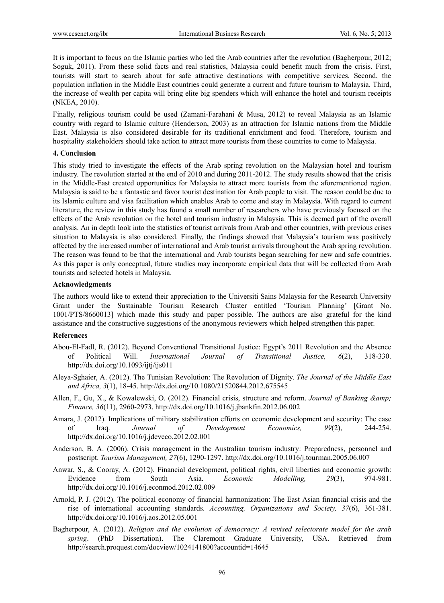It is important to focus on the Islamic parties who led the Arab countries after the revolution (Bagherpour, 2012; Soguk, 2011). From these solid facts and real statistics, Malaysia could benefit much from the crisis. First, tourists will start to search about for safe attractive destinations with competitive services. Second, the population inflation in the Middle East countries could generate a current and future tourism to Malaysia. Third, the increase of wealth per capita will bring elite big spenders which will enhance the hotel and tourism receipts (NKEA, 2010).

Finally, religious tourism could be used (Zamani-Farahani & Musa, 2012) to reveal Malaysia as an Islamic country with regard to Islamic culture (Henderson, 2003) as an attraction for Islamic nations from the Middle East. Malaysia is also considered desirable for its traditional enrichment and food. Therefore, tourism and hospitality stakeholders should take action to attract more tourists from these countries to come to Malaysia.

# **4. Conclusion**

This study tried to investigate the effects of the Arab spring revolution on the Malaysian hotel and tourism industry. The revolution started at the end of 2010 and during 2011-2012. The study results showed that the crisis in the Middle-East created opportunities for Malaysia to attract more tourists from the aforementioned region. Malaysia is said to be a fantastic and favor tourist destination for Arab people to visit. The reason could be due to its Islamic culture and visa facilitation which enables Arab to come and stay in Malaysia. With regard to current literature, the review in this study has found a small number of researchers who have previously focused on the effects of the Arab revolution on the hotel and tourism industry in Malaysia. This is deemed part of the overall analysis. An in depth look into the statistics of tourist arrivals from Arab and other countries, with previous crises situation to Malaysia is also considered. Finally, the findings showed that Malaysia's tourism was positively affected by the increased number of international and Arab tourist arrivals throughout the Arab spring revolution. The reason was found to be that the international and Arab tourists began searching for new and safe countries. As this paper is only conceptual, future studies may incorporate empirical data that will be collected from Arab tourists and selected hotels in Malaysia.

### **Acknowledgments**

The authors would like to extend their appreciation to the Universiti Sains Malaysia for the Research University Grant under the Sustainable Tourism Research Cluster entitled 'Tourism Planning' [Grant No. 1001/PTS/8660013] which made this study and paper possible. The authors are also grateful for the kind assistance and the constructive suggestions of the anonymous reviewers which helped strengthen this paper.

#### **References**

- Abou-El-Fadl, R. (2012). Beyond Conventional Transitional Justice: Egypt's 2011 Revolution and the Absence of Political Will. *International Journal of Transitional Justice, 6*(2), 318-330. http://dx.doi.org/10.1093/ijtj/ijs011
- Aleya-Sghaier, A. (2012). The Tunisian Revolution: The Revolution of Dignity. *The Journal of the Middle East and Africa, 3*(1), 18-45. http://dx.doi.org/10.1080/21520844.2012.675545
- Allen, F., Gu, X., & Kowalewski, O. (2012). Financial crisis, structure and reform. *Journal of Banking & Finance, 36*(11), 2960-2973. http://dx.doi.org/10.1016/j.jbankfin.2012.06.002
- Amara, J. (2012). Implications of military stabilization efforts on economic development and security: The case of Iraq. *Journal of Development Economics, 99*(2), 244-254. http://dx.doi.org/10.1016/j.jdeveco.2012.02.001
- Anderson, B. A. (2006). Crisis management in the Australian tourism industry: Preparedness, personnel and postscript. *Tourism Management, 27*(6), 1290-1297. http://dx.doi.org/10.1016/j.tourman.2005.06.007
- Anwar, S., & Cooray, A. (2012). Financial development, political rights, civil liberties and economic growth: Evidence from South Asia. *Economic Modelling, 29*(3), 974-981. http://dx.doi.org/10.1016/j.econmod.2012.02.009
- Arnold, P. J. (2012). The political economy of financial harmonization: The East Asian financial crisis and the rise of international accounting standards. *Accounting, Organizations and Society, 37*(6), 361-381. http://dx.doi.org/10.1016/j.aos.2012.05.001
- Bagherpour, A. (2012). *Religion and the evolution of democracy: A revised selectorate model for the arab spring*. (PhD Dissertation). The Claremont Graduate University, USA. Retrieved from http://search.proquest.com/docview/1024141800?accountid=14645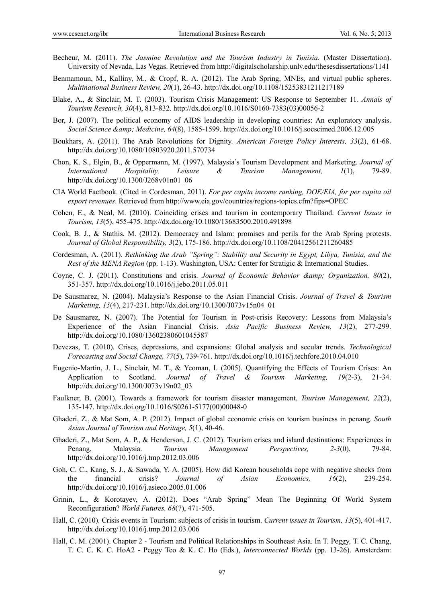- Becheur, M. (2011). *The Jasmine Revolution and the Tourism Industry in Tunisia.* (Master Dissertation). University of Nevada, Las Vegas. Retrieved from http://digitalscholarship.unlv.edu/thesesdissertations/1141
- Benmamoun, M., Kalliny, M., & Cropf, R. A. (2012). The Arab Spring, MNEs, and virtual public spheres. *Multinational Business Review, 20*(1), 26-43. http://dx.doi.org/10.1108/15253831211217189
- Blake, A., & Sinclair, M. T. (2003). Tourism Crisis Management: US Response to September 11. *Annals of Tourism Research, 30*(4), 813-832. http://dx.doi.org/10.1016/S0160-7383(03)00056-2
- Bor, J. (2007). The political economy of AIDS leadership in developing countries: An exploratory analysis. *Social Science & Medicine, 64*(8), 1585-1599. http://dx.doi.org/10.1016/j.socscimed.2006.12.005
- Boukhars, A. (2011). The Arab Revolutions for Dignity. *American Foreign Policy Interests, 33*(2), 61-68. http://dx.doi.org/10.1080/10803920.2011.570734
- Chon, K. S., Elgin, B., & Oppermann, M. (1997). Malaysia's Tourism Development and Marketing. *Journal of International Hospitality, Leisure & Tourism Management, 1*(1), 79-89. http://dx.doi.org/10.1300/J268v01n01\_06
- CIA World Factbook. (Cited in Cordesman, 2011). *For per capita income ranking, DOE/EIA, for per capita oil export revenues*. Retrieved from http://www.eia.gov/countries/regions-topics.cfm?fips=OPEC
- Cohen, E., & Neal, M. (2010). Coinciding crises and tourism in contemporary Thailand. *Current Issues in Tourism, 13*(5), 455-475. http://dx.doi.org/10.1080/13683500.2010.491898
- Cook, B. J., & Stathis, M. (2012). Democracy and Islam: promises and perils for the Arab Spring protests. *Journal of Global Responsibility, 3*(2), 175-186. http://dx.doi.org/10.1108/20412561211260485
- Cordesman, A. (2011). *Rethinking the Arab "Spring": Stability and Security in Egypt, Libya, Tunisia, and the Rest of the MENA Region* (pp. 1-13). Washington, USA: Center for Stratigic & International Studies.
- Coyne, C. J. (2011). Constitutions and crisis. *Journal of Economic Behavior & amp*; *Organization*, 80(2), 351-357. http://dx.doi.org/10.1016/j.jebo.2011.05.011
- De Sausmarez, N. (2004). Malaysia's Response to the Asian Financial Crisis. *Journal of Travel & Tourism Marketing, 15*(4), 217-231. http://dx.doi.org/10.1300/J073v15n04\_01
- De Sausmarez, N. (2007). The Potential for Tourism in Post-crisis Recovery: Lessons from Malaysia's Experience of the Asian Financial Crisis. *Asia Pacific Business Review, 13*(2), 277-299. http://dx.doi.org/10.1080/13602380601045587
- Devezas, T. (2010). Crises, depressions, and expansions: Global analysis and secular trends. *Technological Forecasting and Social Change, 77*(5), 739-761. http://dx.doi.org/10.1016/j.techfore.2010.04.010
- Eugenio-Martin, J. L., Sinclair, M. T., & Yeoman, I. (2005). Quantifying the Effects of Tourism Crises: An Application to Scotland. *Journal of Travel & Tourism Marketing, 19*(2-3), 21-34. http://dx.doi.org/10.1300/J073v19n02\_03
- Faulkner, B. (2001). Towards a framework for tourism disaster management. *Tourism Management, 22*(2), 135-147. http://dx.doi.org/10.1016/S0261-5177(00)00048-0
- Ghaderi, Z., & Mat Som, A. P. (2012). Impact of global economic crisis on tourism business in penang. *South Asian Journal of Tourism and Heritage, 5*(1), 40-46.
- Ghaderi, Z., Mat Som, A. P., & Henderson, J. C. (2012). Tourism crises and island destinations: Experiences in Penang, Malaysia. *Tourism Management Perspectives, 2-3*(0), 79-84. http://dx.doi.org/10.1016/j.tmp.2012.03.006
- Goh, C. C., Kang, S. J., & Sawada, Y. A. (2005). How did Korean households cope with negative shocks from the financial crisis? *Journal of Asian Economics, 16*(2), 239-254. http://dx.doi.org/10.1016/j.asieco.2005.01.006
- Grinin, L., & Korotayev, A. (2012). Does "Arab Spring" Mean The Beginning Of World System Reconfiguration? *World Futures, 68*(7), 471-505.
- Hall, C. (2010). Crisis events in Tourism: subjects of crisis in tourism. *Current issues in Tourism, 13*(5), 401-417. http://dx.doi.org/10.1016/j.tmp.2012.03.006
- Hall, C. M. (2001). Chapter 2 Tourism and Political Relationships in Southeast Asia. In T. Peggy, T. C. Chang, T. C. C. K. C. HoA2 - Peggy Teo & K. C. Ho (Eds.), *Interconnected Worlds* (pp. 13-26). Amsterdam: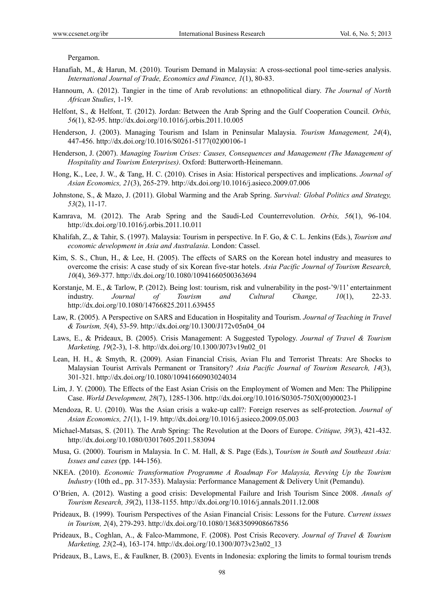Pergamon.

- Hanafiah, M., & Harun, M. (2010). Tourism Demand in Malaysia: A cross-sectional pool time-series analysis. *International Journal of Trade, Economics and Finance, 1*(1), 80-83.
- Hannoum, A. (2012). Tangier in the time of Arab revolutions: an ethnopolitical diary. *The Journal of North African Studies*, 1-19.
- Helfont, S., & Helfont, T. (2012). Jordan: Between the Arab Spring and the Gulf Cooperation Council. *Orbis, 56*(1), 82-95. http://dx.doi.org/10.1016/j.orbis.2011.10.005
- Henderson, J. (2003). Managing Tourism and Islam in Peninsular Malaysia. *Tourism Management, 24*(4), 447-456. http://dx.doi.org/10.1016/S0261-5177(02)00106-1
- Henderson, J. (2007). *Managing Tourism Crises: Causes, Consequences and Management (The Management of Hospitality and Tourism Enterprises)*. Oxford: Butterworth-Heinemann.
- Hong, K., Lee, J. W., & Tang, H. C. (2010). Crises in Asia: Historical perspectives and implications. *Journal of Asian Economics, 21*(3), 265-279. http://dx.doi.org/10.1016/j.asieco.2009.07.006
- Johnstone, S., & Mazo, J. (2011). Global Warming and the Arab Spring. *Survival: Global Politics and Strategy, 53*(2), 11-17.
- Kamrava, M. (2012). The Arab Spring and the Saudi-Led Counterrevolution. *Orbis, 56*(1), 96-104. http://dx.doi.org/10.1016/j.orbis.2011.10.011
- Khalifah, Z., & Tahir, S. (1997). Malaysia: Tourism in perspective. In F. Go, & C. L. Jenkins (Eds.), *Tourism and economic development in Asia and Australasia*. London: Cassel.
- Kim, S. S., Chun, H., & Lee, H. (2005). The effects of SARS on the Korean hotel industry and measures to overcome the crisis: A case study of six Korean five-star hotels. *Asia Pacific Journal of Tourism Research, 10*(4), 369-377. http://dx.doi.org/10.1080/10941660500363694
- Korstanje, M. E., & Tarlow, P. (2012). Being lost: tourism, risk and vulnerability in the post-'9/11' entertainment industry. *Journal of Tourism and Cultural Change, 10*(1), 22-33. http://dx.doi.org/10.1080/14766825.2011.639455
- Law, R. (2005). A Perspective on SARS and Education in Hospitality and Tourism. *Journal of Teaching in Travel & Tourism, 5*(4), 53-59. http://dx.doi.org/10.1300/J172v05n04\_04
- Laws, E., & Prideaux, B. (2005). Crisis Management: A Suggested Typology. *Journal of Travel & Tourism Marketing, 19*(2-3), 1-8. http://dx.doi.org/10.1300/J073v19n02\_01
- Lean, H. H., & Smyth, R. (2009). Asian Financial Crisis, Avian Flu and Terrorist Threats: Are Shocks to Malaysian Tourist Arrivals Permanent or Transitory? *Asia Pacific Journal of Tourism Research, 14*(3), 301-321. http://dx.doi.org/10.1080/10941660903024034
- Lim, J. Y. (2000). The Effects of the East Asian Crisis on the Employment of Women and Men: The Philippine Case. *World Development, 28*(7), 1285-1306. http://dx.doi.org/10.1016/S0305-750X(00)00023-1
- Mendoza, R. U. (2010). Was the Asian crisis a wake-up call?: Foreign reserves as self-protection. *Journal of Asian Economics, 21*(1), 1-19. http://dx.doi.org/10.1016/j.asieco.2009.05.003
- Michael-Matsas, S. (2011). The Arab Spring: The Revolution at the Doors of Europe. *Critique, 39*(3), 421-432. http://dx.doi.org/10.1080/03017605.2011.583094
- Musa, G. (2000). Tourism in Malaysia. In C. M. Hall, & S. Page (Eds.), T*ourism in South and Southeast Asia: Issues and cases* (pp. 144-156).
- NKEA. (2010). *Economic Transformation Programme A Roadmap For Malaysia, Revving Up the Tourism Industry* (10th ed., pp. 317-353). Malaysia: Performance Management & Delivery Unit (Pemandu).
- O'Brien, A. (2012). Wasting a good crisis: Developmental Failure and Irish Tourism Since 2008. *Annals of Tourism Research, 39*(2), 1138-1155. http://dx.doi.org/10.1016/j.annals.2011.12.008
- Prideaux, B. (1999). Tourism Perspectives of the Asian Financial Crisis: Lessons for the Future. *Current issues in Tourism, 2*(4), 279-293. http://dx.doi.org/10.1080/13683509908667856
- Prideaux, B., Coghlan, A., & Falco-Mammone, F. (2008). Post Crisis Recovery. *Journal of Travel & Tourism Marketing, 23*(2-4), 163-174. http://dx.doi.org/10.1300/J073v23n02\_13
- Prideaux, B., Laws, E., & Faulkner, B. (2003). Events in Indonesia: exploring the limits to formal tourism trends